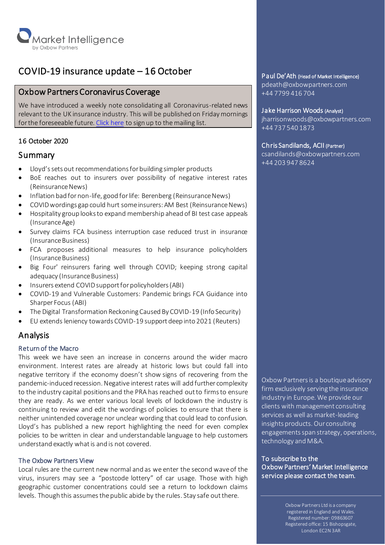

# COVID-19 insurance update – 16 October

# Oxbow Partners Coronavirus Coverage

We have introduced a weekly note consolidating all Coronavirus-related news relevant to the UK insurance industry. This will be published on Friday mornings for the foreseeable future[. Click here](http://oxbowpartners-7474208.hs-sites.com/subscribe-to-market-intelligence) to sign up to the mailing list.

# 16 October 2020

# **Summary**

- Lloyd's sets out recommendations for building simpler products
- BoE reaches out to insurers over possibility of negative interest rates (Reinsurance News)
- Inflation bad for non-life, good for life: Berenberg (Reinsurance News)
- COVID wordings gap could hurt some insurers: AM Best (Reinsurance News)
- Hospitality group looks to expand membership ahead of BI test case appeals (Insurance Age)
- Survey claims FCA business interruption case reduced trust in insurance (Insurance Business)
- FCA proposes additional measures to help insurance policyholders (Insurance Business)
- Big Four' reinsurers faring well through COVID; keeping strong capital adequacy (Insurance Business)
- Insurers extend COVIDsupport for policyholders (ABI)
- COVID-19 and Vulnerable Customers: Pandemic brings FCA Guidance into Sharper Focus (ABI)
- The Digital Transformation Reckoning Caused By COVID-19 (Info Security)
- EU extends leniency towards COVID-19 support deep into 2021 (Reuters)

# Analysis

# Return of the Macro

This week we have seen an increase in concerns around the wider macro environment. Interest rates are already at historic lows but could fall into negative territory if the economy doesn't show signs of recovering from the pandemic-induced recession. Negative interest rates will add further complexity to the industry capital positions and the PRA has reached out to firms to ensure they are ready. As we enter various local levels of lockdown the industry is continuing to review and edit the wordings of policies to ensure that there is neither unintended coverage nor unclear wording that could lead to confusion. Lloyd's has published a new report highlighting the need for even complex policies to be written in clear and understandable language to help customers understand exactly what is and is not covered.

# The Oxbow Partners View

Local rules are the current new normal and as we enter the second wave of the virus, insurers may see a "postcode lottery" of car usage. Those with high geographic customer concentrations could see a return to lockdown claims levels. Though this assumes the public abide by the rules. Stay safe out there.

Oxbow Partners is a boutique advisory firm exclusively serving the insurance industry in Europe. We provide our clients with management consulting services as well as market-leading insights products. Our consulting engagements span strategy, operations, technology and M&A.

To subscribe to the Oxbow Partners' Market Intelligence service please contact the team.

> Oxbow Partners Ltd is a company registered in England and Wales. Registered number: 09863607 Registered office: 15 Bishopsgate, London EC2N 3AR

Ξ

# Paul De'Ath (Head of Market Intelligence)

pdeath@oxbowpartners.com +44 7799 416 704

### Jake Harrison Woods (Analyst)

jharrisonwoods@oxbowpartners.com +44 737 540 1873

### Chris Sandilands, ACII (Partner)

csandilands@oxbowpartners.com +44 203 947 8624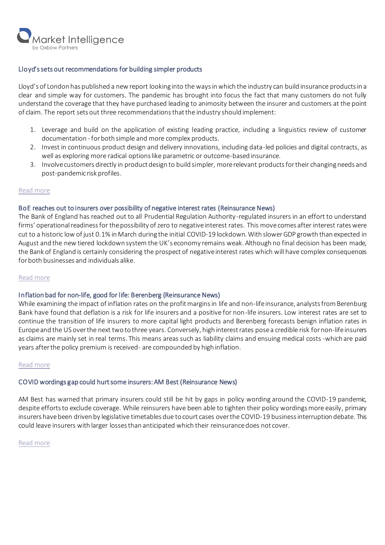

## Lloyd's sets out recommendations for building simpler products

Lloyd's of London has published a new report looking into the ways in which the industry can build insurance products in a clear and simple way for customers. The pandemic has brought into focus the fact that many customers do not fully understand the coverage that they have purchased leading to animosity between the insurer and customers at the point of claim. The report sets out three recommendations that the industry should implement:

- 1. Leverage and build on the application of existing leading practice, including a linguistics review of customer documentation - for both simple and more complex products.
- 2. Invest in continuous product design and delivery innovations, including data-led policies and digital contracts, as well as exploring more radical options like parametric or outcome-based insurance.
- 3. Involve customers directly in product design to build simpler, more relevant products for their changing needs and post-pandemic risk profiles.

### [Read more](https://www.lloyds.com/news-and-risk-insight/press-releases/2020/10/lloyds-sets-out-recommendations-for-building-simpler-insurance-products-in-response-to-covid19)

### BoE reaches out to insurers over possibility of negative interest rates (Reinsurance News)

The Bank of England has reached out to all Prudential Regulation Authority-regulated insurers in an effort to understand firms' operational readiness for the possibility of zero to negative interest rates. This move comes after interest rates were cut to a historic low of just 0.1% in March during the initial COVID-19 lockdown. With slower GDP growth than expected in August and the new tiered lockdown system the UK's economy remains weak. Although no final decision has been made, the Bank of England is certainly considering the prospect of negative interest rates which will have complex consequences for both businesses and individuals alike.

### [Read more](https://www.reinsurancene.ws/boe-reaches-out-to-insurers-over-possibility-of-negative-interest-rates/)

### Inflation bad for non-life, good for life: Berenberg (Reinsurance News)

While examining the impact of inflation rates on the profit margins in life and non-life insurance, analysts from Berenburg Bank have found that deflation is a risk for life insurers and a positive for non-life insurers. Low interest rates are set to continue the transition of life insurers to more capital light products and Berenberg forecasts benign inflation rates in Europe and the US overthe next two to three years. Conversely, high interestrates pose a credible risk for non-life insurers as claims are mainly set in real terms. This means areas such as liability claims and ensuing medical costs -which are paid years after the policy premium is received- are compounded by high inflation.

### [Read more](https://www.reinsurancene.ws/inflation-bad-for-non-life-insurers-good-for-life-berenberg/)

### COVID wordings gap could hurt some insurers: AM Best (Reinsurance News)

AM Best has warned that primary insurers could still be hit by gaps in policy wording around the COVID-19 pandemic, despite efforts to exclude coverage. While reinsurers have been able to tighten their policy wordings more easily, primary insurers have been driven by legislative timetables due to court cases over the COVID-19 business interruption debate. This could leave insurers with larger losses than anticipated which their reinsurance does not cover.

### [Read more](https://www.reinsurancene.ws/covid-wordings-gap-could-hurt-some-insurers-am-best/)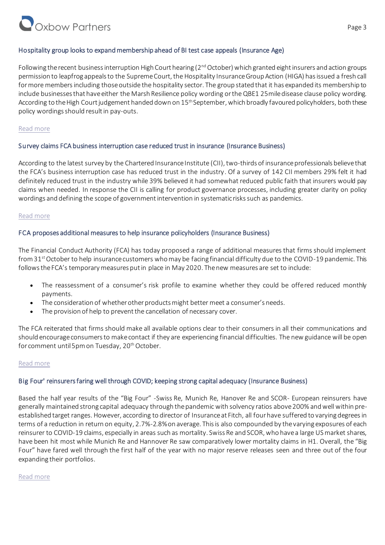# Oxbow Partners

# Hospitality group looks to expand membership ahead of BI test case appeals (Insurance Age)

Following the recent business interruption High Court hearing (2<sup>nd</sup> October) which granted eight insurers and action groups permission to leapfrog appeals to the Supreme Court, the Hospitality Insurance Group Action (HIGA) has issued a fresh call for more members including those outside the hospitality sector. The group stated that it has expanded its membership to include businesses that have either the Marsh Resilience policy wording or the QBE1 25mile disease clause policy wording. According to the High Court judgement handed down on 15<sup>th</sup> September, which broadly favoured policyholders, both these policy wordings should result in pay-outs.

# [Read more](https://www.insuranceage.co.uk/insurer/7528231/hospitality-group-looks-to-expand-membership-ahead-of-bi-test-case-appeals)

# Survey claims FCA business interruption case reduced trust in insurance (Insurance Business)

According to the latest survey by the Chartered Insurance Institute (CII), two-thirds of insurance professionals believe that the FCA's business interruption case has reduced trust in the industry. Of a survey of 142 CII members 29% felt it had definitely reduced trust in the industry while 39% believed it had somewhat reduced public faith that insurers would pay claims when needed. In response the CII is calling for product governance processes, including greater clarity on policy wordings and defining the scope of government intervention in systematic risks such as pandemics.

# [Read more](https://www.insurancebusinessmag.com/uk/news/breaking-news/survey-claims-fca-business-interruption-case-reduced-trust-in-insurance-236295.aspx)

# FCA proposes additional measures to help insurance policyholders (Insurance Business)

The Financial Conduct Authority (FCA) has today proposed a range of additional measures that firms should implement from 31<sup>st</sup> October to help insurance customers who may be facing financial difficulty due to the COVID-19 pandemic. This follows the FCA's temporary measures put in place in May 2020. Thenew measures are set to include:

- The reassessment of a consumer's risk profile to examine whether they could be offered reduced monthly payments.
- The consideration of whether other products might better meet a consumer's needs.
- The provision of help to prevent the cancellation of necessary cover.

The FCA reiterated that firms should make all available options clear to their consumers in all their communications and should encourage consumers to make contact if they are experiencing financial difficulties. The new guidance will be open for comment until 5pm on Tuesday, 20<sup>th</sup> October.

# [Read more](https://www.insurancebusinessmag.com/uk/news/breaking-news/fca-proposes-additional-measures-to-help-insurance-policyholders-236480.aspx?utm_source=GA&utm_medium=20201016&utm_campaign=IBUKW-Breaking-20201016&utm_content=305DC9AB-D435-4D81-AFE2-BB355E232220&tu=305DC9AB-D435-4D81-AFE2-BB355E232220)

# Big Four' reinsurers faring well through COVID; keeping strong capital adequacy (Insurance Business)

Based the half year results of the "Big Four" -Swiss Re, Munich Re, Hanover Re and SCOR- European reinsurers have generally maintained strong capital adequacy through the pandemic with solvency ratios above 200% and well within preestablished target ranges. However, according to director of Insurance at Fitch, all four have suffered to varying degrees in terms of a reduction in return on equity, 2.7%-2.8% on average. This is also compounded by the varying exposures of each reinsurer to COVID-19 claims, especially in areas such as mortality. Swiss Re and SCOR, who have a large US market shares, have been hit most while Munich Re and Hannover Re saw comparatively lower mortality claims in H1. Overall, the "Big Four" have fared well through the first half of the year with no major reserve releases seen and three out of the four expanding their portfolios.

# [Read more](https://www.insurancebusinessmag.com/uk/news/breaking-news/big-four-reinsurers-faring-well-through-covid-keeping-strong-capital-adequacy-235952.aspx)